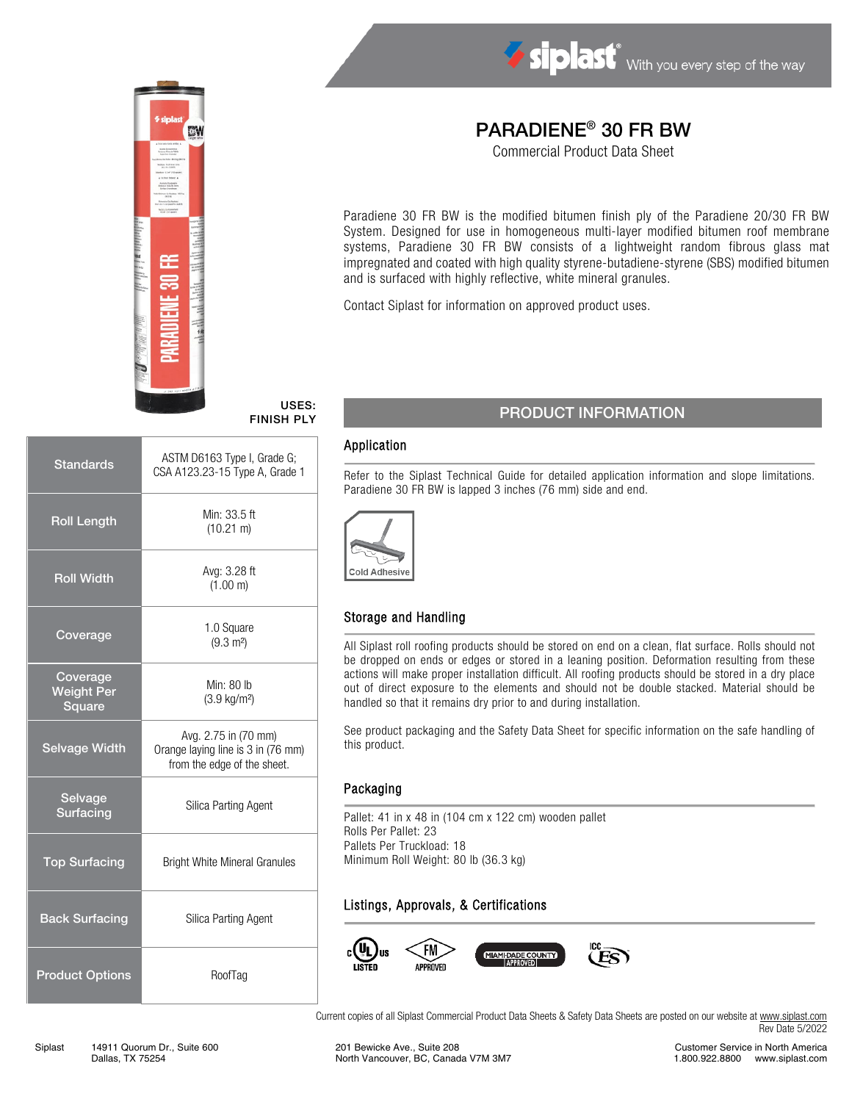



#### USES: FINISH PLY

| <b>Standards</b>                        | ASTM D6163 Type I, Grade G;<br>CSA A123.23-15 Type A, Grade 1                             |  |  |
|-----------------------------------------|-------------------------------------------------------------------------------------------|--|--|
| <b>Roll Length</b>                      | Min: 33.5 ft<br>$(10.21 \text{ m})$                                                       |  |  |
| <b>Roll Width</b>                       | Avg: 3.28 ft<br>(1.00 m)                                                                  |  |  |
| Coverage                                | 1.0 Square<br>$(9.3 \text{ m}^2)$                                                         |  |  |
| Coverage<br><b>Weight Per</b><br>Square | Min: $80$ lb<br>$(3.9 \text{ kg/m}^2)$                                                    |  |  |
| <b>Selvage Width</b>                    | Avg. 2.75 in (70 mm)<br>Orange laying line is 3 in (76 mm)<br>from the edge of the sheet. |  |  |
| Selvage<br><b>Surfacing</b>             | Silica Parting Agent                                                                      |  |  |
| <b>Top Surfacing</b>                    | <b>Bright White Mineral Granules</b>                                                      |  |  |
| <b>Back Surfacing</b>                   | Silica Parting Agent                                                                      |  |  |
| <b>Product Options</b>                  | RoofTag                                                                                   |  |  |

# PARADIENE® 30 FR BW

Commercial Product Data Sheet

Paradiene 30 FR BW is the modified bitumen finish ply of the Paradiene 20/30 FR BW System. Designed for use in homogeneous multi-layer modified bitumen roof membrane systems, Paradiene 30 FR BW consists of a lightweight random fibrous glass mat impregnated and coated with high quality styrene-butadiene-styrene (SBS) modified bitumen and is surfaced with highly reflective, white mineral granules.

Contact Siplast for information on approved product uses.

## PRODUCT INFORMATION

#### Application

Refer to the Siplast Technical Guide for detailed application information and slope limitations. Paradiene 30 FR BW is lapped 3 inches (76 mm) side and end.



### Storage and Handling

All Siplast roll roofing products should be stored on end on a clean, flat surface. Rolls should not be dropped on ends or edges or stored in a leaning position. Deformation resulting from these actions will make proper installation difficult. All roofing products should be stored in a dry place out of direct exposure to the elements and should not be double stacked. Material should be handled so that it remains dry prior to and during installation.

See product packaging and the Safety Data Sheet for specific information on the safe handling of this product.

#### Packaging

Pallet: 41 in x 48 in (104 cm x 122 cm) wooden pallet Rolls Per Pallet: 23 Pallets Per Truckload: 18 Minimum Roll Weight: 80 lb (36.3 kg)

### Listings, Approvals, & Certifications



Current copies of all Siplast Commercial Product Data Sheets & Safety Data Sheets are posted on our website a[t www.siplast.com](http://www.siplast.com/) Rev Date 5/2022